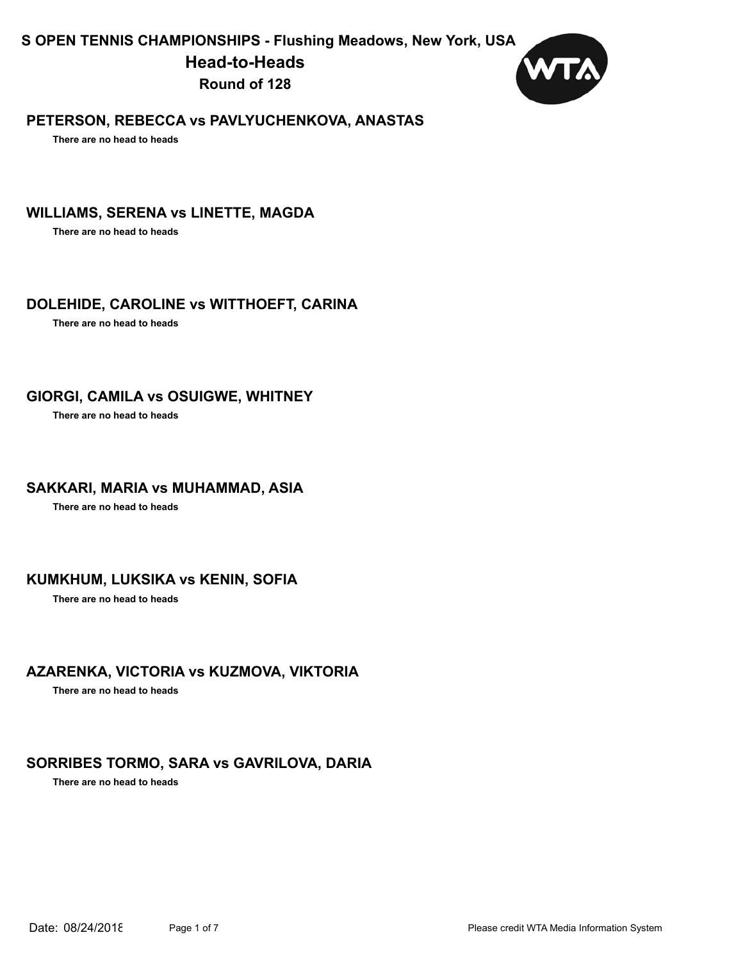**S OPEN TENNIS CHAMPIONSHIPS - Flushing Meadows, New York, USA**

**Head-to-Heads**

**Round of 128**



### **PETERSON, REBECCA vs PAVLYUCHENKOVA, ANASTAS**

**There are no head to heads** 

### **WILLIAMS, SERENA vs LINETTE, MAGDA**

**There are no head to heads** 

### **DOLEHIDE, CAROLINE vs WITTHOEFT, CARINA**

**There are no head to heads** 

#### **GIORGI, CAMILA vs OSUIGWE, WHITNEY**

**There are no head to heads** 

#### **SAKKARI, MARIA vs MUHAMMAD, ASIA**

**There are no head to heads** 

### **KUMKHUM, LUKSIKA vs KENIN, SOFIA**

**There are no head to heads** 

### **AZARENKA, VICTORIA vs KUZMOVA, VIKTORIA**

**There are no head to heads** 

## **SORRIBES TORMO, SARA vs GAVRILOVA, DARIA**

**There are no head to heads**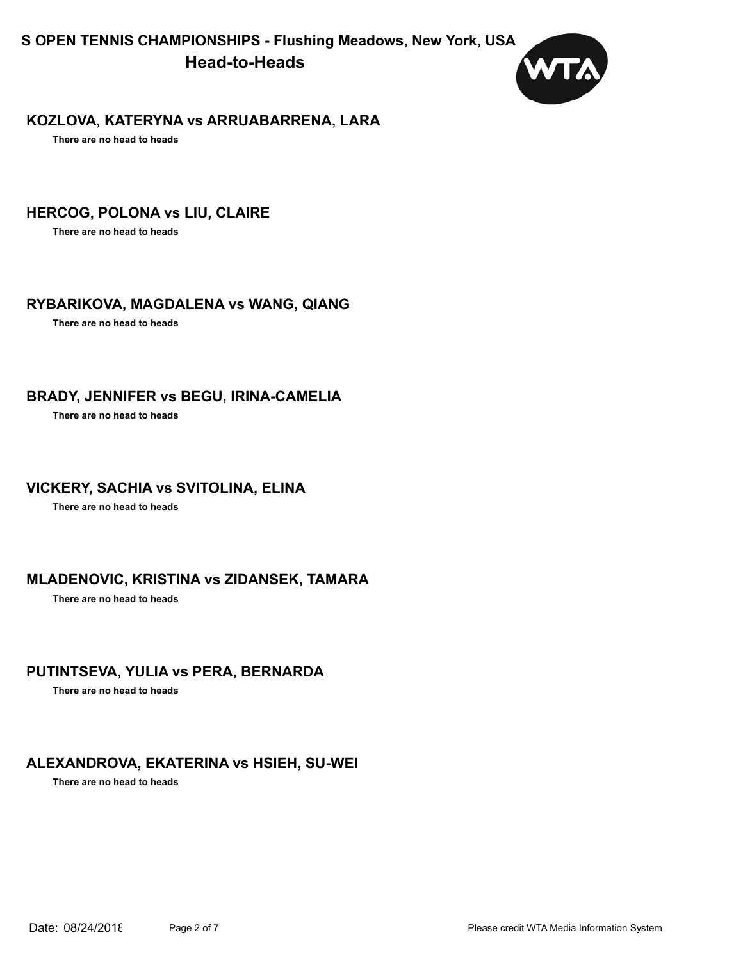**S OPEN TENNIS CHAMPIONSHIPS - Flushing Meadows, New York, USA Head-to-Heads**



#### **KOZLOVA, KATERYNA vs ARRUABARRENA, LARA**

**There are no head to heads** 

### **HERCOG, POLONA vs LIU, CLAIRE**

**There are no head to heads** 

### **RYBARIKOVA, MAGDALENA vs WANG, QIANG**

**There are no head to heads** 

#### **BRADY, JENNIFER vs BEGU, IRINA-CAMELIA**

**There are no head to heads** 

### **VICKERY, SACHIA vs SVITOLINA, ELINA**

**There are no head to heads** 

### **MLADENOVIC, KRISTINA vs ZIDANSEK, TAMARA**

**There are no head to heads** 

### **PUTINTSEVA, YULIA vs PERA, BERNARDA**

**There are no head to heads** 

### **ALEXANDROVA, EKATERINA vs HSIEH, SU-WEI**

**There are no head to heads**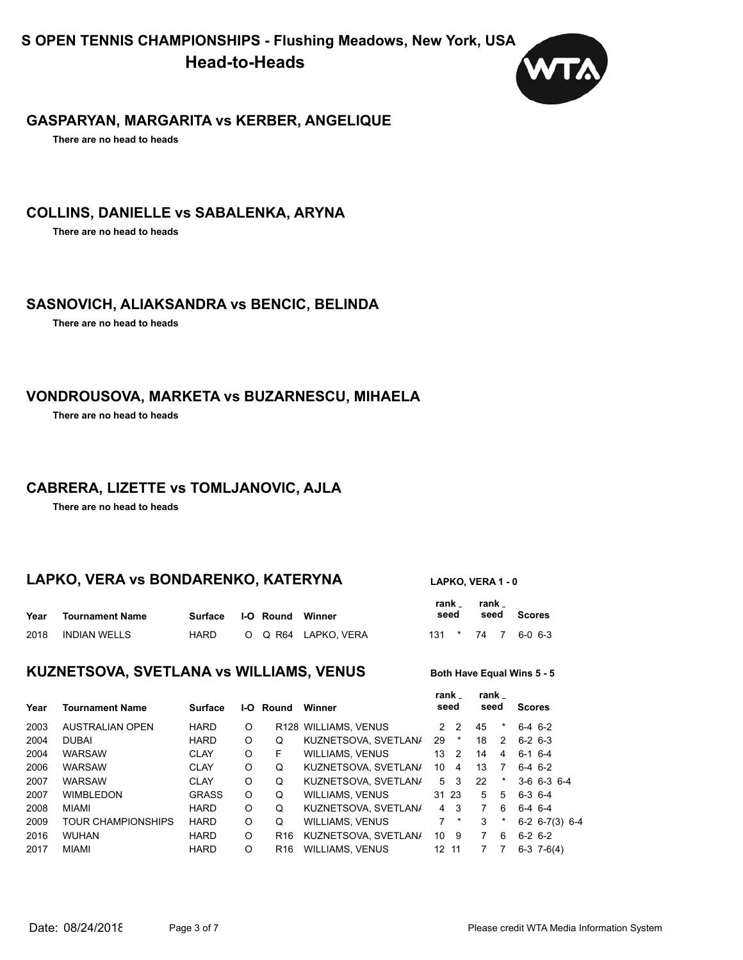**S OPEN TENNIS CHAMPIONSHIPS - Flushing Meadows, New York, USA Head-to-Heads**



#### **GASPARYAN, MARGARITA vs KERBER, ANGELIQUE**

**There are no head to heads** 

#### **COLLINS, DANIELLE vs SABALENKA, ARYNA**

**There are no head to heads** 

#### **SASNOVICH, ALIAKSANDRA vs BENCIC, BELINDA**

**There are no head to heads** 

#### **VONDROUSOVA, MARKETA vs BUZARNESCU, MIHAELA**

**There are no head to heads** 

### **CABRERA, LIZETTE vs TOMLJANOVIC, AJLA**

**There are no head to heads** 

### **LAPKO, VERA vs BONDARENKO, KATERYNA LAPKO, VERA 1 - 0**

**rank** 

| Year | <b>Tournament Name</b> | Surface I-O Round Winner |  |                    | rank . | seed | rank | seed Scores        |
|------|------------------------|--------------------------|--|--------------------|--------|------|------|--------------------|
|      | 2018 INDIAN WELLS      | HARD                     |  | O Q R64 LAPKO VERA |        |      |      | 131 * 74 7 6-0 6-3 |

#### **KUZNETSOVA, SVETLANA vs WILLIAMS, VENUS** Both Have Equal Wins 5 - 5

# **rank**

**rank** 

| Year | <b>Tournament Name</b>    | <b>Surface</b> | I-O- | Round           | Winner                 | rank _<br>seed  |         | rank<br>seed |                | <b>Scores</b>        |
|------|---------------------------|----------------|------|-----------------|------------------------|-----------------|---------|--------------|----------------|----------------------|
| 2003 | AUSTRALIAN OPEN           | <b>HARD</b>    | O    |                 | R128 WILLIAMS, VENUS   | $2^{\circ}$     | -2      | 45           |                | $6-4$ $6-2$          |
| 2004 | <b>DUBAI</b>              | <b>HARD</b>    | O    | Q               | KUZNETSOVA, SVETLAN/   | 29              | *       | 18           | $\overline{2}$ | $6-2$ 6-3            |
| 2004 | <b>WARSAW</b>             | <b>CLAY</b>    | O    | F               | <b>WILLIAMS, VENUS</b> | 13              | 2       | 14           | 4              | $6-1$ 6-4            |
| 2006 | <b>WARSAW</b>             | <b>CLAY</b>    | O    | Q               | KUZNETSOVA, SVETLAN/   | 10              | 4       | 13           | 7              | $6-4$ 6-2            |
| 2007 | <b>WARSAW</b>             | <b>CLAY</b>    | O    | Q               | KUZNETSOVA, SVETLAN/   | 5               | 3       | 22           | *              | $3-6$ 6-3 6-4        |
| 2007 | <b>WIMBLEDON</b>          | <b>GRASS</b>   | O    | Q               | <b>WILLIAMS, VENUS</b> | 31 23           |         | 5            | 5              | $6-3$ $6-4$          |
| 2008 | MIAMI                     | <b>HARD</b>    | O    | Q               | KUZNETSOVA, SVETLAN/   | 4               | - 3     | 7            | 6              | $6-4$ 6-4            |
| 2009 | <b>TOUR CHAMPIONSHIPS</b> | <b>HARD</b>    | O    | Q               | <b>WILLIAMS, VENUS</b> | 7               | $\star$ | 3            | $\star$        | $6-2$ $6-7(3)$ $6-4$ |
| 2016 | <b>WUHAN</b>              | <b>HARD</b>    | O    | R <sub>16</sub> | KUZNETSOVA, SVETLAN/   | 10              | - 9     | 7            | 6              | $6-2$ $6-2$          |
| 2017 | MIAMI                     | <b>HARD</b>    | O    | R <sub>16</sub> | <b>WILLIAMS, VENUS</b> | 12 <sup>2</sup> | 11      |              |                | $6-3$ 7-6(4)         |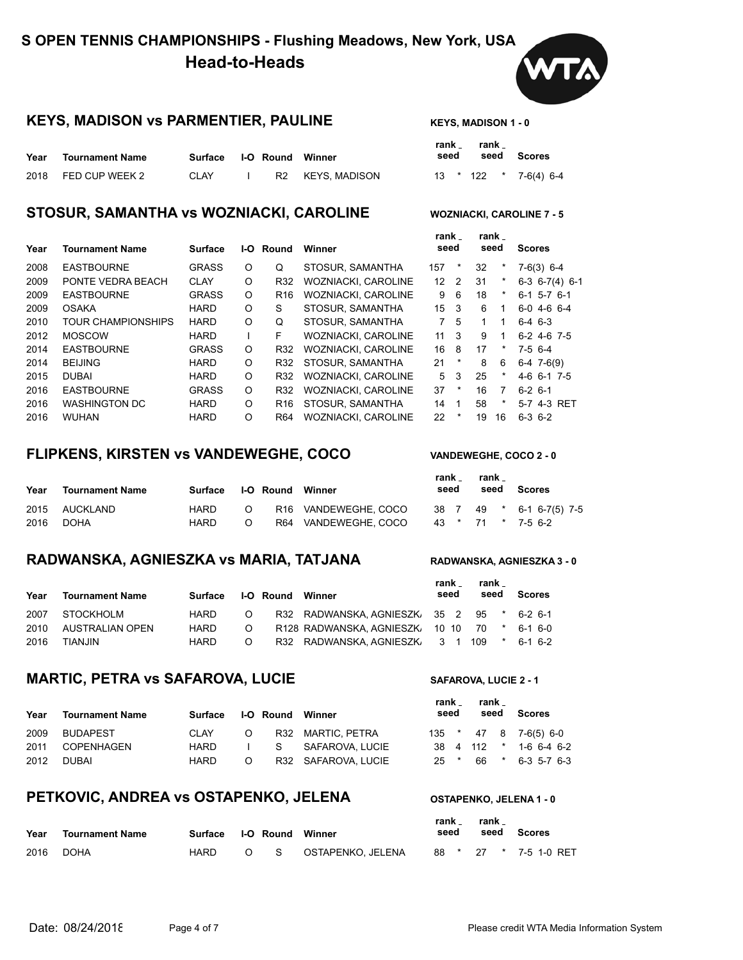### **KEYS, MADISON VS PARMENTIER, PAULINE** KEYS, MADISON 1 - 0



#### **STOSUR, SAMANTHA VS WOZNIACKI, CAROLINE WOZNIACKI, CAROLINE 7 - 5**

**rank** 

**rank** 

**rank** 

| <b>Tournament Name</b>    | <b>Surface</b> | I-O |                 | Winner                     |                |                | seed |            | <b>Scores</b>        |  |
|---------------------------|----------------|-----|-----------------|----------------------------|----------------|----------------|------|------------|----------------------|--|
| <b>EASTBOURNE</b>         | <b>GRASS</b>   | O   | Q               | STOSUR, SAMANTHA           | 157            | *              | 32   | *          | $7-6(3)$ 6-4         |  |
| PONTE VEDRA BEACH         | <b>CLAY</b>    | O   | R32             | WOZNIACKI, CAROLINE        | 12             | $\overline{2}$ | 31   | $^{\star}$ | $6-3$ $6-7(4)$ $6-1$ |  |
| <b>EASTBOURNE</b>         | <b>GRASS</b>   | O   | R <sub>16</sub> | <b>WOZNIACKI, CAROLINE</b> | 9              | -6             | 18   | *          | $6-1$ 5-7 $6-1$      |  |
| <b>OSAKA</b>              | <b>HARD</b>    | O   | S               | STOSUR, SAMANTHA           | 15             | -3             | 6    |            | $6-0$ 4-6 6-4        |  |
| <b>TOUR CHAMPIONSHIPS</b> | <b>HARD</b>    | O   | Q               | STOSUR, SAMANTHA           | $\overline{7}$ | -5             |      |            | $6-4$ 6-3            |  |
| <b>MOSCOW</b>             | <b>HARD</b>    |     | F               | <b>WOZNIACKI, CAROLINE</b> | 11             | 3              | 9    |            | $6-2$ 4-6 7-5        |  |
| <b>EASTBOURNE</b>         | <b>GRASS</b>   | O   | R32             | <b>WOZNIACKI, CAROLINE</b> | 16             | -8             | 17   | *          | $7-5$ 6-4            |  |
| <b>BEIJING</b>            | <b>HARD</b>    | O   | R32             | STOSUR, SAMANTHA           | 21             | $\ast$         | 8    | 6          | $6-4$ 7 $-6(9)$      |  |
| <b>DUBAI</b>              | <b>HARD</b>    | O   | R32             | <b>WOZNIACKI, CAROLINE</b> | 5              | 3              | 25   | *          | $4-6$ 6-1 7-5        |  |
| <b>EASTBOURNE</b>         | <b>GRASS</b>   | O   | R32             | <b>WOZNIACKI, CAROLINE</b> | 37             | $\ast$         | 16   | 7          | $6-2$ $6-1$          |  |
| <b>WASHINGTON DC</b>      | <b>HARD</b>    | O   | R <sub>16</sub> | STOSUR, SAMANTHA           | 14             | $\overline{1}$ | 58   | *          | 5-7 4-3 RET          |  |
| <b>WUHAN</b>              | <b>HARD</b>    | O   | R <sub>64</sub> | <b>WOZNIACKI, CAROLINE</b> | 22             | *              | 19   | 16         | $6-3$ $6-2$          |  |
|                           |                |     |                 | Round                      |                |                | seed |            |                      |  |

#### **FLIPKENS, KIRSTEN vs VANDEWEGHE, COCO VANDEWEGHE, COCO 2 - 0**

#### **Scores seed Year Tournament Name seed Surface I-O Round Winner** 2015 AUCKLAND HARD O R16 VANDEWEGHE, COCO 38 7 49 \* 6-1 6-7(5) 7-5 2016 DOHA HARD O R64 VANDEWEGHE, COCO 43 \* 71 \* 7-5 6-2

#### **RADWANSKA, AGNIESZKA vs MARIA, TATJANA RADWANSKA, AGNIESZKA 3 - 0**

#### **Scores seed Year Tournament Name seed Surface I-O Round Winner** 2007 STOCKHOLM HARD O R32 RADWANSKA, AGNIESZI 2010 AUSTRALIAN OPEN HARD O R128 RADWANSKA, AGNIESZI 2016 TIANJIN HARD O R32 RADWANSKA, AGNIESZI

### **MARTIC, PETRA VS SAFAROVA, LUCIE** SAFAROVA, LUCIE 2 - 1

| Year | Tournament Name | Surface |         | <b>I-O Round Winner</b> |                    | .<br>seed | . |  | seed Scores            |
|------|-----------------|---------|---------|-------------------------|--------------------|-----------|---|--|------------------------|
| 2009 | BUDAPEST        | CLAY    | $\circ$ |                         | R32 MARTIC. PETRA  |           |   |  | 135 * 47 8 7-6(5) 6-0  |
| 2011 | COPENHAGEN      | HARD.   |         |                         | I S SAFAROVA LUCIE |           |   |  | 38 4 112 * 1-6 6-4 6-2 |
| 2012 | DUBAI           | HARD.   | $\circ$ |                         | R32 SAFAROVA LUCIE | $25$ *    |   |  | 66 * 6-3 5-7 6-3       |

#### **PETKOVIC, ANDREA VS OSTAPENKO, JELENA** OSTAPENKO, JELENA 1 - 0

| Year | <b>Tournament Name</b> | Surface     | <b>I-O Round Winner</b> |                      | rank.<br>rank <sub>–</sub><br>seed<br>seed |  | <b>Scores</b> |                       |
|------|------------------------|-------------|-------------------------|----------------------|--------------------------------------------|--|---------------|-----------------------|
| 2016 | <b>DOHA</b>            | <b>HARD</b> |                         | O S OSTAPENKO JELENA |                                            |  |               | 88 * 27 * 7-5 1-0 RET |

| rank <sub>-</sub><br>seed |         | rank <sub>-</sub> | seed | Scores |                    |  |
|---------------------------|---------|-------------------|------|--------|--------------------|--|
| 38                        | - 7     | 49                | *    |        | $6-1$ $6-7(5)$ 7-5 |  |
| 43                        | $\star$ | 71                | *    |        | $7-56-2$           |  |

|    |              | rank<br>seed   | rank<br>seed |         | <b>Scores</b> |         |
|----|--------------|----------------|--------------|---------|---------------|---------|
| K, | $35 \quad 2$ |                | 95           | $\star$ | $6-2$ $6-1$   |         |
| K, | 10 10        |                | -70          | *       | $6-1$ $6-0$   |         |
| K, | 3            | $\overline{1}$ | 109          | *       |               | 6-1 6-2 |

| rank _<br>seed |          | rank _<br>seed |   | <b>Scores</b> |                |  |
|----------------|----------|----------------|---|---------------|----------------|--|
| 35             | $\star$  | 47             |   | 8 7-6(5) 6-0  |                |  |
| 38             | 4        | 112            | * |               | $1-6$ 6-4 6-   |  |
| 25             | $^\star$ | 66             | * |               | $6-3$ 5-7 $6-$ |  |

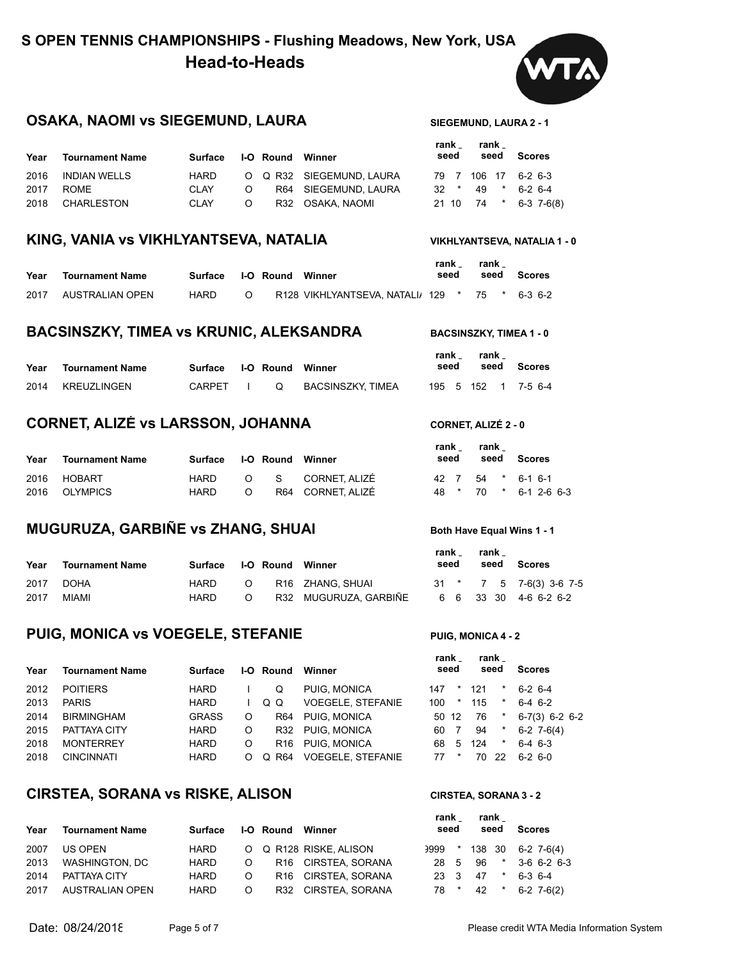

### **OSAKA, NAOMI VS SIEGEMUND, LAURA** SIEGEMUND, LAURA 2-1

| Year | Tournament Name   | Surface I-O Round Winner |         |                         | rank _<br>seed | rank <sub>-</sub> | seed Scores         |                       |
|------|-------------------|--------------------------|---------|-------------------------|----------------|-------------------|---------------------|-----------------------|
|      | 2016 INDIAN WELLS | HARD                     |         | O Q R32 SIEGEMUND LAURA |                |                   | 79 7 106 17 6-2 6-3 |                       |
| 2017 | ROME              | <b>CLAY</b>              |         | O R64 SIEGEMUND LAURA   |                |                   | $32 * 49 * 6-26-4$  |                       |
|      | 2018 CHARLESTON   | CLAY                     | $\circ$ | R32 OSAKA NAOMI         |                |                   |                     | 21 10 74 * 6-3 7-6(8) |

#### **KING, VANIA vs VIKHLYANTSEVA, NATALIA VIKHLYANTSEVA, NATALIA 1 - 0**

| Year | Tournament Name | Surface I-O Round Winner |        |                                              | rank<br>seed | rank | seed Scores |
|------|-----------------|--------------------------|--------|----------------------------------------------|--------------|------|-------------|
| 2017 | AUSTRALIAN OPEN | HARD                     | $\cap$ | R128 VIKHLYANTSEVA NATALI 129 * 75 * 6-3 6-2 |              |      |             |

#### **BACSINSZKY, TIMEA VS KRUNIC, ALEKSANDRA** BACSINSZKY, TIMEA 1 - 0

| Year | <b>Tournament Name</b> | Surface I-O Round Winner |   |                   | rank<br>seed | rank | seed Scores         |
|------|------------------------|--------------------------|---|-------------------|--------------|------|---------------------|
|      | 2014 KREUZLINGEN       | CARPFT I                 | റ | BACSINSZKY. TIMEA |              |      | 195 5 152 1 7-5 6-4 |

#### **CORNET, ALIZÉ vs LARSSON, JOHANNA CORNET, ALIZÉ 2 - 0**

| Year | <b>Tournament Name</b> |      | Surface I-O Round Winner |  |                   | rank .<br>seed |  | rank |  | seed Scores           |  |  |
|------|------------------------|------|--------------------------|--|-------------------|----------------|--|------|--|-----------------------|--|--|
|      | 2016 HOBART            | HARD |                          |  | O S CORNET. ALIZÉ |                |  |      |  | 42 7 54 * 6-1 6-1     |  |  |
|      | 2016 OLYMPICS          | HARD | ∩                        |  | R64 CORNET ALIZÉ  |                |  |      |  | 48 * 70 * 6-1 2-6 6-3 |  |  |

#### **MUGURUZA, GARBIÑE VS ZHANG, SHUAI Both Have Equal Wins 1 - 1**

| Year | <b>Tournament Name</b> | Surface I-O Round Winner |          |                       | rank _<br>seed | rank <sub>-</sub> | seed | Scores                    |
|------|------------------------|--------------------------|----------|-----------------------|----------------|-------------------|------|---------------------------|
| 2017 | DOHA                   | HARD                     | $\circ$  | R16 ZHANG. SHUAI      |                |                   |      | $31 * 7 5 7-6(3) 3-6 7-5$ |
| 2017 | MIAMI                  | HARD                     | $\Omega$ | R32 MUGURUZA, GARBIÑE |                |                   |      | 6 6 33 30 4-6 6-2 6-2     |

### **PUIG, MONICA VS VOEGELE, STEFANIE** PUIG, MONICA 4 - 2

2012 POITIERS HARD I Q PUIG, MONICA

2013 PARIS HARD I Q Q VOEGELE, STEFANIE 100 \* 115 \* 6-4 6-2 2014 BIRMINGHAM GRASS O R64 PUIG, MONICA 2015 PATTAYA CITY **HARD O R32 PUIG, MONICA** 2018 MONTERREY HARD O R16 PUIG, MONICA 2018 CINCINNATI HARD O Q R64 VOEGELE, STEFANIE

| Year | <b>Tournament Name</b> |       | Surface I-O Round Winner |               | rank <sub>–</sub><br>seed | rank .<br>seed | Scores                  |
|------|------------------------|-------|--------------------------|---------------|---------------------------|----------------|-------------------------|
|      |                        |       |                          |               |                           |                |                         |
| 2012 | <b>POITIERS</b>        | HARD. |                          | O PHIG MONICA |                           |                | $147$ * $121$ * 6.2 6.4 |

| 147 |                | * 121 | $\star$    | $6-2$ 6-4        |
|-----|----------------|-------|------------|------------------|
| 100 |                | * 115 | *          | 6-4 6-2          |
|     | 50 12          | - 76  | $^{\star}$ | $6-7(3)$ 6-2 6-2 |
| 60  | $\overline{7}$ | 94    | $\star$    | $6-2$ 7-6(4)     |
| 68  | 5              | 124   | $\star$    | 6-4 6-3          |
| 77. | $\star$        |       | 70 22      | $6-2$ $6-0$      |
|     |                |       |            |                  |

### **CIRSTEA, SORANA vs RISKE, ALISON CIRSTEA, SORANA 3 - 2**

| <b>Tournament Name</b> | Surface                           |         |  |                                                                                                                                             |                      |         | Scores                                                                 |
|------------------------|-----------------------------------|---------|--|---------------------------------------------------------------------------------------------------------------------------------------------|----------------------|---------|------------------------------------------------------------------------|
| US OPEN                | HARD                              |         |  |                                                                                                                                             |                      |         |                                                                        |
|                        | HARD                              | $\circ$ |  |                                                                                                                                             |                      |         | 3-6 6-2 6-3                                                            |
| PATTAYA CITY           | HARD                              | $\circ$ |  |                                                                                                                                             | 47                   | $\star$ | $6-3$ 6-4                                                              |
|                        | <b>HARD</b>                       | $\circ$ |  |                                                                                                                                             |                      | $\star$ | $6-2$ 7-6(2)                                                           |
|                        | WASHINGTON, DC<br>AUSTRALIAN OPEN |         |  | <b>I-O Round Winner</b><br>O Q R128 RISKE, ALISON<br>R <sub>16</sub> CIRSTEA SORANA<br>R <sub>16</sub> CIRSTEA SORANA<br>R32 CIRSTEA SORANA | rank<br>seed<br>23 3 | 78 *    | rank<br>seed<br>$3999$ * 138 30 6-2 7-6(4)<br>$\star$<br>28 5 96<br>42 |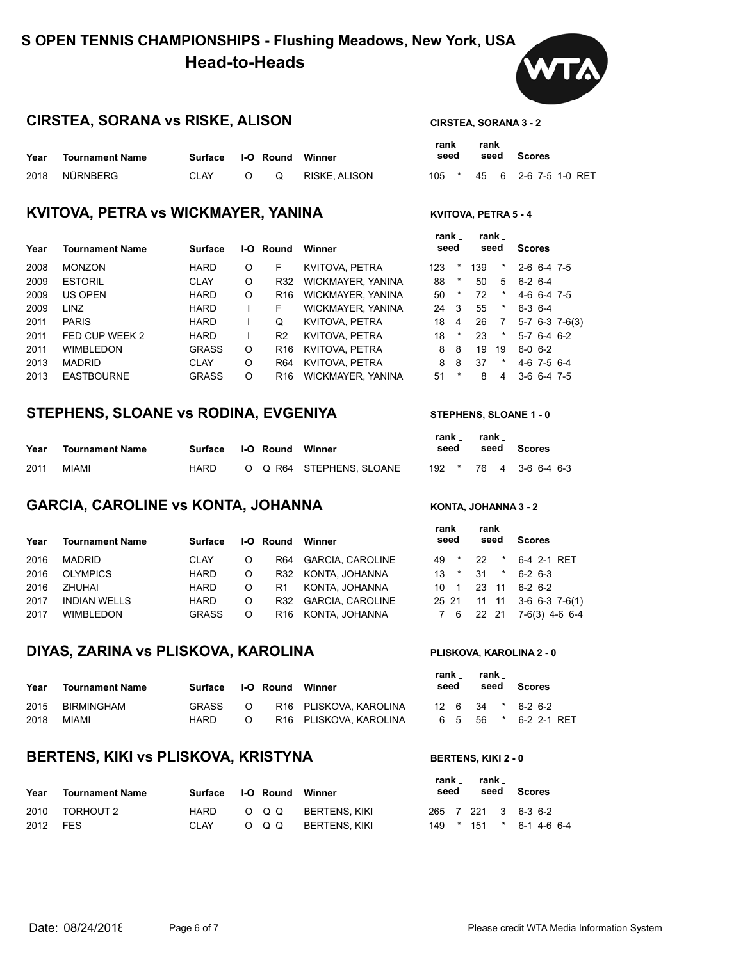# **S OPEN TENNIS CHAMPIONSHIPS - Flushing Meadows, New York, USA Head-to-Heads**

### **CIRSTEA, SORANA vs RISKE, ALISON CIRSTEA, SORANA 3 - 2**

| Year | Tournament Name | Surface I-O Round Winner |   |               | rank<br>seed | rank | seed S |  |
|------|-----------------|--------------------------|---|---------------|--------------|------|--------|--|
|      | 2018 NÜRNBERG   | CLAY                     | O | RISKE. ALISON | 105 * 45 6 2 |      |        |  |

#### **KVITOVA, PETRA VS WICKMAYER, YANINA KVITOVA, PETRA 5-4**

| Year | Tournament Name   | <b>Surface</b> | I-O | Round          | Winner            | seed |                |     | seed    | <b>Scores</b>    |
|------|-------------------|----------------|-----|----------------|-------------------|------|----------------|-----|---------|------------------|
| 2008 | <b>MONZON</b>     | <b>HARD</b>    | O   | F              | KVITOVA, PETRA    | 123  | *              | 139 | *       | $2-6$ 6-4 7-5    |
| 2009 | <b>ESTORIL</b>    | <b>CLAY</b>    | O   | R32            | WICKMAYER, YANINA | 88   | $\ast$         | 50  | 5       | $6-2$ 6-4        |
| 2009 | US OPEN           | <b>HARD</b>    | O   | R16            | WICKMAYER, YANINA | 50   | $\ast$         | 72  | $\ast$  | $4-6$ 6-4 7-5    |
| 2009 | <b>LINZ</b>       | <b>HARD</b>    |     | F.             | WICKMAYER, YANINA | 24   | - 3            | 55  | *       | $6-3$ 6-4        |
| 2011 | <b>PARIS</b>      | <b>HARD</b>    |     | Q              | KVITOVA, PETRA    | 18   | $\overline{4}$ | 26  |         | $5-7$ 6-3 7-6(3) |
| 2011 | FED CUP WEEK 2    | <b>HARD</b>    |     | R <sub>2</sub> | KVITOVA, PETRA    | 18   | $\ast$         | 23  | $\star$ | $5-7$ 6-4 6-2    |
| 2011 | <b>WIMBLEDON</b>  | <b>GRASS</b>   | O   | R16            | KVITOVA, PETRA    | 8    | 8              | 19  | 19      | $6 - 0 6 - 2$    |
| 2013 | <b>MADRID</b>     | <b>CLAY</b>    | O   | R64            | KVITOVA, PETRA    | 8    | -8             | 37  | *       | $4-6$ 7-5 6-4    |
| 2013 | <b>EASTBOURNE</b> | <b>GRASS</b>   | O   | R16            | WICKMAYER, YANINA | 51   | *              | 8   | 4       | $3-6$ 6-4 7-5    |

#### **STEPHENS, SLOANE vs RODINA, EVGENIYA STEPHENS, SLOANE 1 - 0**

| Year | <b>Tournament Name</b> | Surface I-O Round Winner |  |                         | TAIIN –<br>seed | $I$ alin $\sim$ | seed Scores            |
|------|------------------------|--------------------------|--|-------------------------|-----------------|-----------------|------------------------|
| 2011 | MIAMI                  | HARD                     |  | O Q R64 STEPHENS SLOANE |                 |                 | 192 * 76 4 3-6 6-4 6-3 |

### **GARCIA, CAROLINE VS KONTA, JOHANNA KONTA, JOHANNA 3-2**

| Year | <b>Tournament Name</b> | Surface      |         |    | <b>I-O Round Winner</b> | .<br>seed | .<br>seed                  | <b>Scores</b>              |
|------|------------------------|--------------|---------|----|-------------------------|-----------|----------------------------|----------------------------|
| 2016 | MADRID                 | <b>CLAY</b>  | $\circ$ |    | R64 GARCIA, CAROLINE    | 49 *      | 22 <sub>2</sub><br>$\star$ | 6-4 2-1 RET                |
| 2016 | OLYMPICS               | HARD         | $\circ$ |    | R32 KONTA, JOHANNA      | $13$ *    | $31 \quad ^*$              | $6-2$ 6-3                  |
| 2016 | ZHUHAI                 | HARD         | $\circ$ | R1 | KONTA. JOHANNA          | 10 1      |                            | 23 11 6-2 6-2              |
| 2017 | <b>INDIAN WELLS</b>    | <b>HARD</b>  | $\circ$ |    | R32 GARCIA CAROLINE     |           |                            | 25 21 11 11 3-6 6-3 7-6(1) |
| 2017 | <b>WIMBLEDON</b>       | <b>GRASS</b> | $\circ$ |    | R16 KONTA, JOHANNA      |           |                            | 7 6 22 21 7-6(3) 4-6 6-4   |
|      |                        |              |         |    |                         |           |                            |                            |

#### **DIYAS, ZARINA vs PLISKOVA, KAROLINA PLISKOVA, KAROLINA 2 - 0**

| Year | <b>Tournament Name</b> | Surface      |   | <b>I-O Round Winner</b> | $\sim$<br>seed | seed | Scores                        |
|------|------------------------|--------------|---|-------------------------|----------------|------|-------------------------------|
| 2015 | BIRMINGHAM             | <b>GRASS</b> | ∩ | R16 PLISKOVA, KAROLINA  |                |      | $12 \t6 \t34 \t* \t6-2 \t6-2$ |
| 2018 | MIAMI                  | <b>HARD</b>  | റ | R16 PLISKOVA KAROLINA   |                |      | 6 5 56 * 6-2 2-1 RET          |

#### **BERTENS, KIKI VS PLISKOVA, KRISTYNA** BERTENS, KIKI 2 - 0

| Year     | <b>Tournament Name</b> | Surface I-O Round Winner |  |                     | seed | $1$ Gill $\sim$ $1$ Gill $\sim$ | seed Scores             |
|----------|------------------------|--------------------------|--|---------------------|------|---------------------------------|-------------------------|
|          | 2010 TORHOUT 2         | HARD                     |  | O Q Q BERTENS. KIKI |      |                                 | 265 7 221 3 6-3 6-2     |
| 2012 FES |                        | CLAY                     |  | O Q Q BERTENS. KIKI |      |                                 | 149 * 151 * 6-1 4-6 6-4 |



|      |         | rank rank |                   |  |  |
|------|---------|-----------|-------------------|--|--|
| seed |         |           | seed Scores       |  |  |
| 05   | $\star$ | 45        | 6 2-6 7-5 1-0 RET |  |  |

| rank<br>seed |          |     | rank<br>seed | <b>Scores</b> |               |                |
|--------------|----------|-----|--------------|---------------|---------------|----------------|
| 123          | *        | 139 | $\star$      |               | 2-6 6-4 7-5   |                |
| 88           | *        | 50  | 5            | ჩ-2 ჩ-4       |               |                |
| 50           | $^\star$ | 72  | $^\star$     |               | 4-6 6-4 7-5   |                |
| 24           | 3        | 55  | $\star$      | $6-3$ $6-4$   |               |                |
| 18           | 4        | 26  | 7            |               |               | 5-7 6-3 7-6(3) |
| 18           | *        | 23  | $\star$      |               | $5-7$ 6-4 6-2 |                |
| 8            | 8        | 19  | 19           | 6-0 6-2       |               |                |
| 8            | 8        | 37  | *            |               | 4-6 7-5 6-4   |                |
| 51           | *        | 8   | 4            |               | $3-6$ 6-4 7-5 |                |
|              |          |     |              |               |               |                |

| rank _<br>seed |         | rank _ | seed Scores                    |  |
|----------------|---------|--------|--------------------------------|--|
| 192            | $\star$ | 76     | $4\quad 3-6\quad 6-4\quad 6-3$ |  |

|              | rank rank<br>seed seed |         | <b>Scores</b>              |
|--------------|------------------------|---------|----------------------------|
| 49 *         | 22                     | $\star$ | 6-4 2-1 RET                |
| $13 *$       |                        | $31 *$  | $6 - 26 - 3$               |
| $10 \quad 1$ |                        |         | 23 11 6-2 6-2              |
|              |                        |         | 25 21 11 11 3-6 6-3 7-6(1) |
|              |                        |         | 7 6 22 21 7-6(3) 4-6 6-4   |

| rank<br>seed |     |         |                      |  |                                       |
|--------------|-----|---------|----------------------|--|---------------------------------------|
| 126          | -34 |         |                      |  |                                       |
| 65           | -56 | $\star$ |                      |  |                                       |
|              |     |         | rank<br>$\mathbf{r}$ |  | seed Scores<br>6-2 6-2<br>6-2 2-1 RET |

**rank** 

**rank**